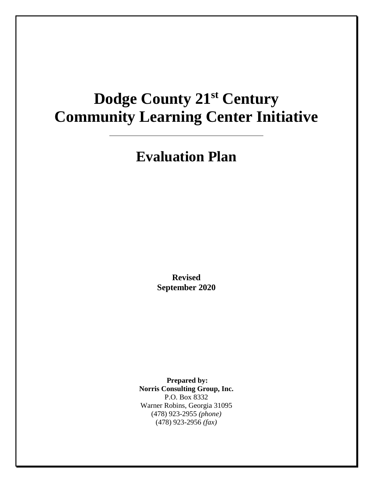# **Dodge County 21st Century Community Learning Center Initiative**

# **Evaluation Plan**

**Revised September 2020**

**Prepared by: Norris Consulting Group, Inc.** P.O. Box 8332 Warner Robins, Georgia 31095 (478) 923-2955 *(phone)* (478) 923-2956 *(fax)*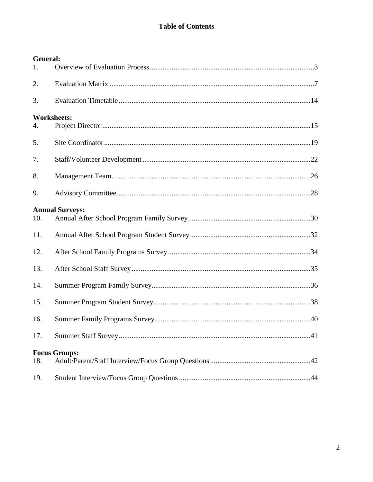| <b>General:</b><br>1. |                        |  |
|-----------------------|------------------------|--|
| 2.                    |                        |  |
| 3.                    |                        |  |
| 4.                    | <b>Worksheets:</b>     |  |
| 5.                    |                        |  |
| 7.                    |                        |  |
| 8.                    |                        |  |
| 9.                    |                        |  |
| 10.                   | <b>Annual Surveys:</b> |  |
| 11.                   |                        |  |
| 12.                   |                        |  |
| 13.                   |                        |  |
| 14.                   |                        |  |
| 15.                   |                        |  |
| 16.                   |                        |  |
| 17.                   |                        |  |
| 18.                   | <b>Focus Groups:</b>   |  |
| 19.                   |                        |  |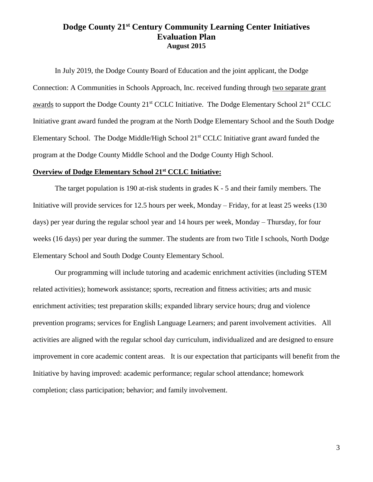## **Dodge County 21st Century Community Learning Center Initiatives Evaluation Plan August 2015**

In July 2019, the Dodge County Board of Education and the joint applicant, the Dodge Connection: A Communities in Schools Approach, Inc. received funding through two separate grant awards to support the Dodge County 21<sup>st</sup> CCLC Initiative. The Dodge Elementary School 21<sup>st</sup> CCLC Initiative grant award funded the program at the North Dodge Elementary School and the South Dodge Elementary School. The Dodge Middle/High School 21<sup>st</sup> CCLC Initiative grant award funded the program at the Dodge County Middle School and the Dodge County High School.

#### **Overview of Dodge Elementary School 21st CCLC Initiative:**

The target population is 190 at-risk students in grades K - 5 and their family members. The Initiative will provide services for 12.5 hours per week, Monday – Friday, for at least 25 weeks (130 days) per year during the regular school year and 14 hours per week, Monday – Thursday, for four weeks (16 days) per year during the summer. The students are from two Title I schools, North Dodge Elementary School and South Dodge County Elementary School.

Our programming will include tutoring and academic enrichment activities (including STEM related activities); homework assistance; sports, recreation and fitness activities; arts and music enrichment activities; test preparation skills; expanded library service hours; drug and violence prevention programs; services for English Language Learners; and parent involvement activities. All activities are aligned with the regular school day curriculum, individualized and are designed to ensure improvement in core academic content areas. It is our expectation that participants will benefit from the Initiative by having improved: academic performance; regular school attendance; homework completion; class participation; behavior; and family involvement.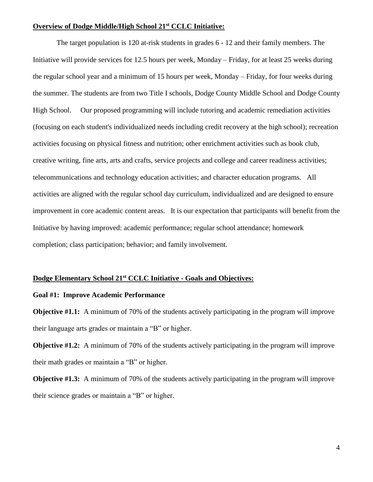#### **Overview of Dodge Middle/High School 21st CCLC Initiative:**

The target population is 120 at-risk students in grades 6 - 12 and their family members. The Initiative will provide services for 12.5 hours per week, Monday – Friday, for at least 25 weeks during the regular school year and a minimum of 15 hours per week, Monday – Friday, for four weeks during the summer. The students are from two Title I schools, Dodge County Middle School and Dodge County High School. Our proposed programming will include tutoring and academic remediation activities (focusing on each student's individualized needs including credit recovery at the high school); recreation activities focusing on physical fitness and nutrition; other enrichment activities such as book club, creative writing, fine arts, arts and crafts, service projects and college and career readiness activities; telecommunications and technology education activities; and character education programs. All activities are aligned with the regular school day curriculum, individualized and are designed to ensure improvement in core academic content areas. It is our expectation that participants will benefit from the Initiative by having improved: academic performance; regular school attendance; homework completion; class participation; behavior; and family involvement.

#### **Dodge Elementary School 21st CCLC Initiative - Goals and Objectives:**

#### **Goal #1: Improve Academic Performance**

**Objective #1.1:** A minimum of 70% of the students actively participating in the program will improve their language arts grades or maintain a "B" or higher.

**Objective #1.2:** A minimum of 70% of the students actively participating in the program will improve their math grades or maintain a "B" or higher.

**Objective #1.3:** A minimum of 70% of the students actively participating in the program will improve their science grades or maintain a "B" or higher.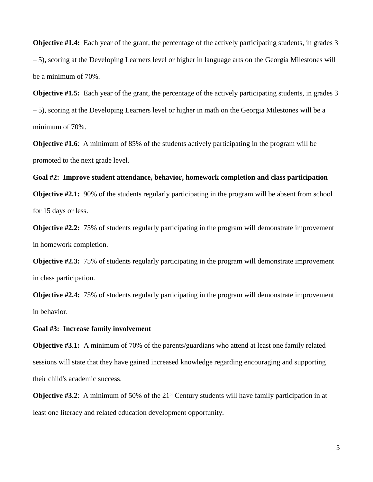**Objective #1.4:** Each year of the grant, the percentage of the actively participating students, in grades 3 – 5), scoring at the Developing Learners level or higher in language arts on the Georgia Milestones will be a minimum of 70%.

**Objective #1.5:** Each year of the grant, the percentage of the actively participating students, in grades 3 – 5), scoring at the Developing Learners level or higher in math on the Georgia Milestones will be a minimum of 70%.

**Objective #1.6**: A minimum of 85% of the students actively participating in the program will be promoted to the next grade level.

**Goal #2: Improve student attendance, behavior, homework completion and class participation Objective #2.1:** 90% of the students regularly participating in the program will be absent from school for 15 days or less.

**Objective #2.2:** 75% of students regularly participating in the program will demonstrate improvement in homework completion.

**Objective #2.3:** 75% of students regularly participating in the program will demonstrate improvement in class participation.

**Objective #2.4:** 75% of students regularly participating in the program will demonstrate improvement in behavior.

#### **Goal #3: Increase family involvement**

**Objective #3.1:** A minimum of 70% of the parents/guardians who attend at least one family related sessions will state that they have gained increased knowledge regarding encouraging and supporting their child's academic success.

**Objective #3.2:** A minimum of 50% of the 21<sup>st</sup> Century students will have family participation in at least one literacy and related education development opportunity.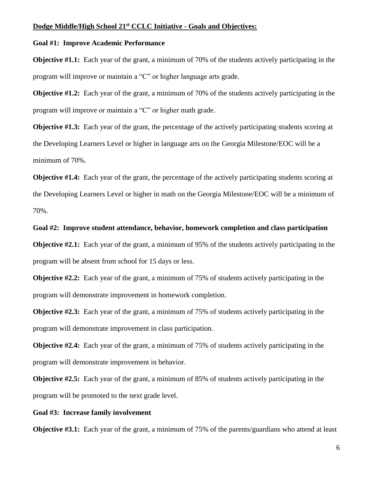#### **Dodge Middle/High School 21st CCLC Initiative - Goals and Objectives:**

#### **Goal #1: Improve Academic Performance**

**Objective #1.1:** Each year of the grant, a minimum of 70% of the students actively participating in the program will improve or maintain a "C" or higher language arts grade.

**Objective #1.2:** Each year of the grant, a minimum of 70% of the students actively participating in the program will improve or maintain a "C" or higher math grade.

**Objective #1.3:** Each year of the grant, the percentage of the actively participating students scoring at the Developing Learners Level or higher in language arts on the Georgia Milestone/EOC will be a minimum of 70%.

**Objective #1.4:** Each year of the grant, the percentage of the actively participating students scoring at the Developing Learners Level or higher in math on the Georgia Milestone/EOC will be a minimum of 70%.

#### **Goal #2: Improve student attendance, behavior, homework completion and class participation**

**Objective #2.1:** Each year of the grant, a minimum of 95% of the students actively participating in the program will be absent from school for 15 days or less.

**Objective #2.2:** Each year of the grant, a minimum of 75% of students actively participating in the program will demonstrate improvement in homework completion.

**Objective #2.3:** Each year of the grant, a minimum of 75% of students actively participating in the program will demonstrate improvement in class participation.

**Objective #2.4:** Each year of the grant, a minimum of 75% of students actively participating in the program will demonstrate improvement in behavior.

**Objective #2.5:** Each year of the grant, a minimum of 85% of students actively participating in the program will be promoted to the next grade level.

#### **Goal #3: Increase family involvement**

**Objective #3.1:** Each year of the grant, a minimum of 75% of the parents/guardians who attend at least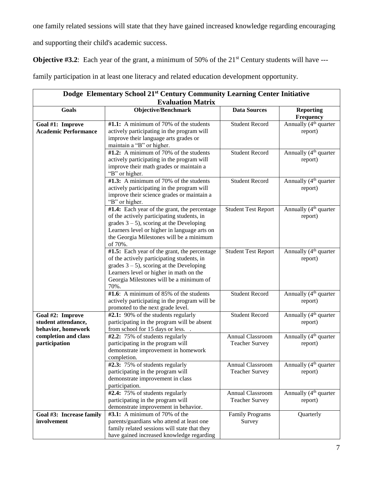one family related sessions will state that they have gained increased knowledge regarding encouraging

and supporting their child's academic success.

**Objective #3.2**: Each year of the grant, a minimum of 50% of the 21<sup>st</sup> Century students will have ---

family participation in at least one literacy and related education development opportunity.

| Dodge Elementary School 21 <sup>st</sup> Century Community Learning Center Initiative |                                                                          |                            |                                   |  |
|---------------------------------------------------------------------------------------|--------------------------------------------------------------------------|----------------------------|-----------------------------------|--|
| <b>Evaluation Matrix</b>                                                              |                                                                          |                            |                                   |  |
| Goals                                                                                 | Objective/Benchmark                                                      | <b>Data Sources</b>        | <b>Reporting</b>                  |  |
|                                                                                       |                                                                          |                            | Frequency                         |  |
| Goal #1: Improve                                                                      | $#1.1$ : A minimum of 70% of the students                                | <b>Student Record</b>      | Annually (4 <sup>th</sup> quarter |  |
| <b>Academic Performance</b>                                                           | actively participating in the program will                               |                            | report)                           |  |
|                                                                                       | improve their language arts grades or                                    |                            |                                   |  |
|                                                                                       | maintain a "B" or higher.                                                |                            |                                   |  |
|                                                                                       | $#1.2$ : A minimum of 70% of the students                                | <b>Student Record</b>      | Annually (4 <sup>th</sup> quarter |  |
|                                                                                       | actively participating in the program will                               |                            | report)                           |  |
|                                                                                       | improve their math grades or maintain a                                  |                            |                                   |  |
|                                                                                       | "B" or higher.                                                           |                            |                                   |  |
|                                                                                       | $#1.3$ : A minimum of 70% of the students                                | <b>Student Record</b>      | Annually (4 <sup>th</sup> quarter |  |
|                                                                                       | actively participating in the program will                               |                            | report)                           |  |
|                                                                                       | improve their science grades or maintain a                               |                            |                                   |  |
|                                                                                       | "B" or higher.                                                           |                            |                                   |  |
|                                                                                       | #1.4: Each year of the grant, the percentage                             | <b>Student Test Report</b> | Annually (4 <sup>th</sup> quarter |  |
|                                                                                       | of the actively participating students, in                               |                            | report)                           |  |
|                                                                                       | grades $3 - 5$ ), scoring at the Developing                              |                            |                                   |  |
|                                                                                       | Learners level or higher in language arts on                             |                            |                                   |  |
|                                                                                       | the Georgia Milestones will be a minimum                                 |                            |                                   |  |
|                                                                                       | of 70%.                                                                  |                            |                                   |  |
|                                                                                       | #1.5: Each year of the grant, the percentage                             | <b>Student Test Report</b> | Annually (4 <sup>th</sup> quarter |  |
|                                                                                       | of the actively participating students, in                               |                            | report)                           |  |
|                                                                                       | grades $3 - 5$ ), scoring at the Developing                              |                            |                                   |  |
|                                                                                       | Learners level or higher in math on the                                  |                            |                                   |  |
|                                                                                       | Georgia Milestones will be a minimum of                                  |                            |                                   |  |
|                                                                                       | 70%.                                                                     |                            |                                   |  |
|                                                                                       | $#1.6$ : A minimum of 85% of the students                                | <b>Student Record</b>      | Annually (4 <sup>th</sup> quarter |  |
|                                                                                       | actively participating in the program will be                            |                            | report)                           |  |
|                                                                                       | promoted to the next grade level.                                        | <b>Student Record</b>      |                                   |  |
| Goal #2: Improve                                                                      | $#2.1: 90\%$ of the students regularly                                   |                            | Annually (4 <sup>th</sup> quarter |  |
| student attendance,                                                                   | participating in the program will be absent                              |                            | report)                           |  |
| behavior, homework<br>completion and class                                            | from school for 15 days or less<br>#2.2: 75% of students regularly       | Annual Classroom           | Annually (4 <sup>th</sup> quarter |  |
| participation                                                                         |                                                                          |                            |                                   |  |
|                                                                                       | participating in the program will<br>demonstrate improvement in homework | <b>Teacher Survey</b>      | report)                           |  |
|                                                                                       | completion.                                                              |                            |                                   |  |
|                                                                                       | #2.3: 75% of students regularly                                          | Annual Classroom           | Annually (4 <sup>th</sup> quarter |  |
|                                                                                       | participating in the program will                                        | <b>Teacher Survey</b>      | report)                           |  |
|                                                                                       | demonstrate improvement in class                                         |                            |                                   |  |
|                                                                                       | participation.                                                           |                            |                                   |  |
|                                                                                       | #2.4: 75% of students regularly                                          | <b>Annual Classroom</b>    | Annually (4 <sup>th</sup> quarter |  |
|                                                                                       | participating in the program will                                        | <b>Teacher Survey</b>      |                                   |  |
|                                                                                       | demonstrate improvement in behavior.                                     |                            | report)                           |  |
| Goal #3: Increase family                                                              | $#3.1$ : A minimum of 70% of the                                         | <b>Family Programs</b>     | Quarterly                         |  |
| involvement                                                                           | parents/guardians who attend at least one                                | Survey                     |                                   |  |
|                                                                                       | family related sessions will state that they                             |                            |                                   |  |
|                                                                                       | have gained increased knowledge regarding                                |                            |                                   |  |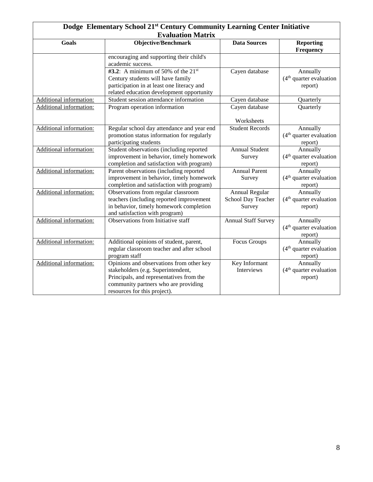| Dodge Elementary School 21 <sup>st</sup> Century Community Learning Center Initiative<br><b>Evaluation Matrix</b> |                                                                                                                                                                                                    |                                                       |                                                            |  |
|-------------------------------------------------------------------------------------------------------------------|----------------------------------------------------------------------------------------------------------------------------------------------------------------------------------------------------|-------------------------------------------------------|------------------------------------------------------------|--|
| <b>Goals</b>                                                                                                      | <b>Objective/Benchmark</b>                                                                                                                                                                         | <b>Data Sources</b>                                   | <b>Reporting</b><br><b>Frequency</b>                       |  |
|                                                                                                                   | encouraging and supporting their child's<br>academic success.                                                                                                                                      |                                                       |                                                            |  |
|                                                                                                                   | #3.2: A minimum of 50% of the $21^{st}$<br>Century students will have family<br>participation in at least one literacy and<br>related education development opportunity                            | Cayen database                                        | Annually<br>(4 <sup>th</sup> quarter evaluation<br>report) |  |
| Additional information:                                                                                           | Student session attendance information                                                                                                                                                             | Cayen database                                        | Quarterly                                                  |  |
| Additional information:                                                                                           | Program operation information                                                                                                                                                                      | Cayen database                                        | Quarterly                                                  |  |
|                                                                                                                   |                                                                                                                                                                                                    | Worksheets                                            |                                                            |  |
| Additional information:                                                                                           | Regular school day attendance and year end<br>promotion status information for regularly<br>participating students                                                                                 | <b>Student Records</b>                                | Annually<br>$(4th$ quarter evaluation<br>report)           |  |
| Additional information:                                                                                           | Student observations (including reported<br>improvement in behavior, timely homework<br>completion and satisfaction with program)                                                                  | <b>Annual Student</b><br>Survey                       | Annually<br>$(4th$ quarter evaluation<br>report)           |  |
| Additional information:                                                                                           | Parent observations (including reported<br>improvement in behavior, timely homework<br>completion and satisfaction with program)                                                                   | <b>Annual Parent</b><br>Survey                        | Annually<br>(4 <sup>th</sup> quarter evaluation<br>report) |  |
| Additional information:                                                                                           | Observations from regular classroom<br>teachers (including reported improvement<br>in behavior, timely homework completion<br>and satisfaction with program)                                       | <b>Annual Regular</b><br>School Day Teacher<br>Survey | Annually<br>$(4th$ quarter evaluation<br>report)           |  |
| Additional information:                                                                                           | Observations from Initiative staff                                                                                                                                                                 | <b>Annual Staff Survey</b>                            | Annually<br>$(4th$ quarter evaluation<br>report)           |  |
| Additional information:                                                                                           | Additional opinions of student, parent,<br>regular classroom teacher and after school<br>program staff                                                                                             | Focus Groups                                          | Annually<br>(4 <sup>th</sup> quarter evaluation<br>report) |  |
| Additional information:                                                                                           | Opinions and observations from other key<br>stakeholders (e.g. Superintendent,<br>Principals, and representatives from the<br>community partners who are providing<br>resources for this project). | Key Informant<br>Interviews                           | Annually<br>$(4th$ quarter evaluation<br>report)           |  |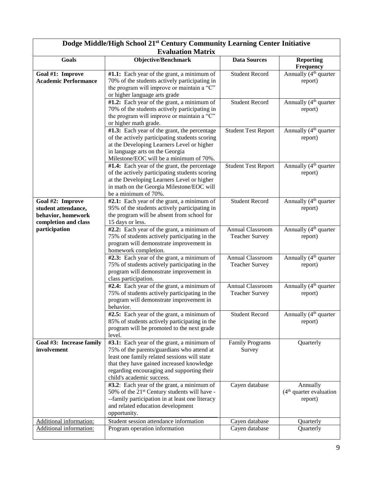| Dodge Middle/High School 21 <sup>st</sup> Century Community Learning Center Initiative |                                                                                                                                                                                                                                                                  |                                           |                                                  |  |
|----------------------------------------------------------------------------------------|------------------------------------------------------------------------------------------------------------------------------------------------------------------------------------------------------------------------------------------------------------------|-------------------------------------------|--------------------------------------------------|--|
| <b>Evaluation Matrix</b>                                                               |                                                                                                                                                                                                                                                                  |                                           |                                                  |  |
| Goals                                                                                  | <b>Objective/Benchmark</b>                                                                                                                                                                                                                                       | <b>Data Sources</b>                       | <b>Reporting</b><br>Frequency                    |  |
| Goal #1: Improve<br><b>Academic Performance</b>                                        | #1.1: Each year of the grant, a minimum of<br>70% of the students actively participating in<br>the program will improve or maintain a "C"<br>or higher language arts grade                                                                                       | <b>Student Record</b>                     | Annually (4 <sup>th</sup> quarter<br>report)     |  |
|                                                                                        | #1.2: Each year of the grant, a minimum of<br>70% of the students actively participating in<br>the program will improve or maintain a "C"<br>or higher math grade.                                                                                               | <b>Student Record</b>                     | Annually (4 <sup>th</sup> quarter<br>report)     |  |
|                                                                                        | #1.3: Each year of the grant, the percentage<br>of the actively participating students scoring<br>at the Developing Learners Level or higher<br>in language arts on the Georgia<br>Milestone/EOC will be a minimum of 70%.                                       | <b>Student Test Report</b>                | Annually (4 <sup>th</sup> quarter<br>report)     |  |
|                                                                                        | #1.4: Each year of the grant, the percentage<br>of the actively participating students scoring<br>at the Developing Learners Level or higher<br>in math on the Georgia Milestone/EOC will<br>be a minimum of 70%.                                                | <b>Student Test Report</b>                | Annually (4 <sup>th</sup> quarter<br>report)     |  |
| Goal #2: Improve<br>student attendance,<br>behavior, homework<br>completion and class  | $#2.1$ : Each year of the grant, a minimum of<br>95% of the students actively participating in<br>the program will be absent from school for<br>15 days or less.                                                                                                 | <b>Student Record</b>                     | Annually (4 <sup>th</sup> quarter<br>report)     |  |
| participation                                                                          | #2.2: Each year of the grant, a minimum of<br>75% of students actively participating in the<br>program will demonstrate improvement in<br>homework completion.                                                                                                   | Annual Classroom<br><b>Teacher Survey</b> | Annually (4 <sup>th</sup> quarter<br>report)     |  |
|                                                                                        | #2.3: Each year of the grant, a minimum of<br>75% of students actively participating in the<br>program will demonstrate improvement in<br>class participation.                                                                                                   | Annual Classroom<br><b>Teacher Survey</b> | Annually (4 <sup>th</sup> quarter<br>report)     |  |
|                                                                                        | #2.4: Each year of the grant, a minimum of<br>75% of students actively participating in the<br>program will demonstrate improvement in<br>behavior.                                                                                                              | Annual Classroom<br><b>Teacher Survey</b> | Annually (4 <sup>th</sup> quarter<br>report)     |  |
|                                                                                        | #2.5: Each year of the grant, a minimum of<br>85% of students actively participating in the<br>program will be promoted to the next grade<br>level.                                                                                                              | <b>Student Record</b>                     | Annually (4 <sup>th</sup> quarter<br>report)     |  |
| Goal #3: Increase family<br>involvement                                                | #3.1: Each year of the grant, a minimum of<br>75% of the parents/guardians who attend at<br>least one family related sessions will state<br>that they have gained increased knowledge<br>regarding encouraging and supporting their<br>child's academic success. | <b>Family Programs</b><br>Survey          | Quarterly                                        |  |
|                                                                                        | #3.2: Each year of the grant, a minimum of<br>50% of the 21st Century students will have -<br>--family participation in at least one literacy<br>and related education development<br>opportunity.                                                               | Cayen database                            | Annually<br>$(4th$ quarter evaluation<br>report) |  |
| Additional information:                                                                | Student session attendance information                                                                                                                                                                                                                           | Cayen database                            | Quarterly                                        |  |
| Additional information:                                                                | Program operation information                                                                                                                                                                                                                                    | Cayen database                            | Quarterly                                        |  |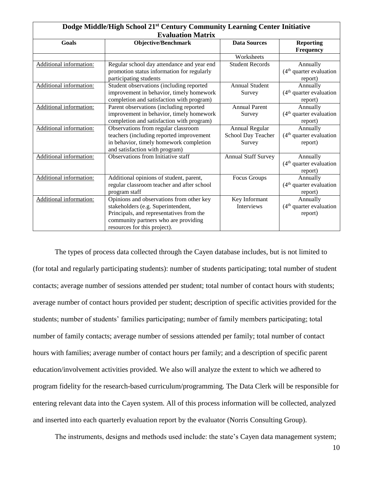| Dodge Middle/High School 21 <sup>st</sup> Century Community Learning Center Initiative |                                                                                                                                                                                                    |                                                |                                                            |  |
|----------------------------------------------------------------------------------------|----------------------------------------------------------------------------------------------------------------------------------------------------------------------------------------------------|------------------------------------------------|------------------------------------------------------------|--|
| Goals                                                                                  | <b>Evaluation Matrix</b><br><b>Objective/Benchmark</b>                                                                                                                                             | <b>Data Sources</b>                            | <b>Reporting</b><br><b>Frequency</b>                       |  |
|                                                                                        |                                                                                                                                                                                                    | Worksheets                                     |                                                            |  |
| Additional information:                                                                | Regular school day attendance and year end<br>promotion status information for regularly<br>participating students                                                                                 | <b>Student Records</b>                         | Annually<br>$(4th$ quarter evaluation<br>report)           |  |
| Additional information:                                                                | Student observations (including reported<br>improvement in behavior, timely homework<br>completion and satisfaction with program)                                                                  | <b>Annual Student</b><br>Survey                | Annually<br>(4 <sup>th</sup> quarter evaluation<br>report) |  |
| Additional information:                                                                | Parent observations (including reported<br>improvement in behavior, timely homework<br>completion and satisfaction with program)                                                                   | <b>Annual Parent</b><br>Survey                 | Annually<br>$(4th$ quarter evaluation<br>report)           |  |
| Additional information:                                                                | Observations from regular classroom<br>teachers (including reported improvement<br>in behavior, timely homework completion<br>and satisfaction with program)                                       | Annual Regular<br>School Day Teacher<br>Survey | Annually<br>$(4th$ quarter evaluation<br>report)           |  |
| Additional information:                                                                | Observations from Initiative staff                                                                                                                                                                 | <b>Annual Staff Survey</b>                     | Annually<br>$(4th$ quarter evaluation<br>report)           |  |
| Additional information:                                                                | Additional opinions of student, parent,<br>regular classroom teacher and after school<br>program staff                                                                                             | Focus Groups                                   | Annually<br>$(4th$ quarter evaluation<br>report)           |  |
| Additional information:                                                                | Opinions and observations from other key<br>stakeholders (e.g. Superintendent,<br>Principals, and representatives from the<br>community partners who are providing<br>resources for this project). | Key Informant<br>Interviews                    | Annually<br>(4 <sup>th</sup> quarter evaluation<br>report) |  |

The types of process data collected through the Cayen database includes, but is not limited to (for total and regularly participating students): number of students participating; total number of student contacts; average number of sessions attended per student; total number of contact hours with students; average number of contact hours provided per student; description of specific activities provided for the students; number of students' families participating; number of family members participating; total number of family contacts; average number of sessions attended per family; total number of contact hours with families; average number of contact hours per family; and a description of specific parent education/involvement activities provided. We also will analyze the extent to which we adhered to program fidelity for the research-based curriculum/programming. The Data Clerk will be responsible for entering relevant data into the Cayen system. All of this process information will be collected, analyzed and inserted into each quarterly evaluation report by the evaluator (Norris Consulting Group).

The instruments, designs and methods used include: the state's Cayen data management system;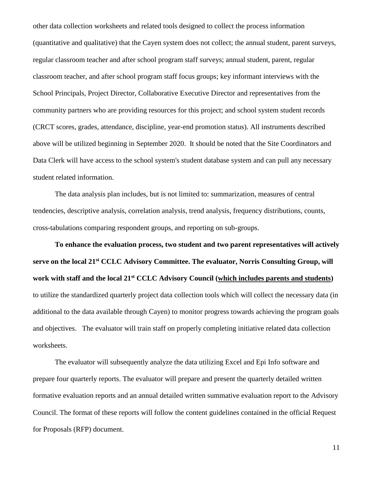other data collection worksheets and related tools designed to collect the process information (quantitative and qualitative) that the Cayen system does not collect; the annual student, parent surveys, regular classroom teacher and after school program staff surveys; annual student, parent, regular classroom teacher, and after school program staff focus groups; key informant interviews with the School Principals, Project Director, Collaborative Executive Director and representatives from the community partners who are providing resources for this project; and school system student records (CRCT scores, grades, attendance, discipline, year-end promotion status). All instruments described above will be utilized beginning in September 2020. It should be noted that the Site Coordinators and Data Clerk will have access to the school system's student database system and can pull any necessary student related information.

The data analysis plan includes, but is not limited to: summarization, measures of central tendencies, descriptive analysis, correlation analysis, trend analysis, frequency distributions, counts, cross-tabulations comparing respondent groups, and reporting on sub-groups.

**To enhance the evaluation process, two student and two parent representatives will actively serve on the local 21st CCLC Advisory Committee. The evaluator, Norris Consulting Group, will work with staff and the local 21st CCLC Advisory Council (which includes parents and students)**  to utilize the standardized quarterly project data collection tools which will collect the necessary data (in additional to the data available through Cayen) to monitor progress towards achieving the program goals and objectives. The evaluator will train staff on properly completing initiative related data collection worksheets.

The evaluator will subsequently analyze the data utilizing Excel and Epi Info software and prepare four quarterly reports. The evaluator will prepare and present the quarterly detailed written formative evaluation reports and an annual detailed written summative evaluation report to the Advisory Council. The format of these reports will follow the content guidelines contained in the official Request for Proposals (RFP) document.

11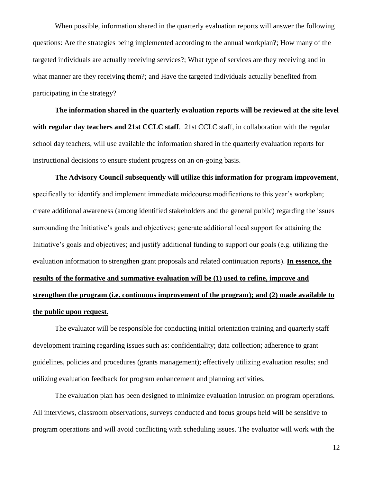When possible, information shared in the quarterly evaluation reports will answer the following questions: Are the strategies being implemented according to the annual workplan?; How many of the targeted individuals are actually receiving services?; What type of services are they receiving and in what manner are they receiving them?; and Have the targeted individuals actually benefited from participating in the strategy?

**The information shared in the quarterly evaluation reports will be reviewed at the site level with regular day teachers and 21st CCLC staff**. 21st CCLC staff, in collaboration with the regular school day teachers, will use available the information shared in the quarterly evaluation reports for instructional decisions to ensure student progress on an on-going basis.

**The Advisory Council subsequently will utilize this information for program improvement**, specifically to: identify and implement immediate midcourse modifications to this year's workplan; create additional awareness (among identified stakeholders and the general public) regarding the issues surrounding the Initiative's goals and objectives; generate additional local support for attaining the Initiative's goals and objectives; and justify additional funding to support our goals (e.g. utilizing the evaluation information to strengthen grant proposals and related continuation reports). **In essence, the results of the formative and summative evaluation will be (1) used to refine, improve and strengthen the program (i.e. continuous improvement of the program); and (2) made available to the public upon request.**

The evaluator will be responsible for conducting initial orientation training and quarterly staff development training regarding issues such as: confidentiality; data collection; adherence to grant guidelines, policies and procedures (grants management); effectively utilizing evaluation results; and utilizing evaluation feedback for program enhancement and planning activities.

The evaluation plan has been designed to minimize evaluation intrusion on program operations. All interviews, classroom observations, surveys conducted and focus groups held will be sensitive to program operations and will avoid conflicting with scheduling issues. The evaluator will work with the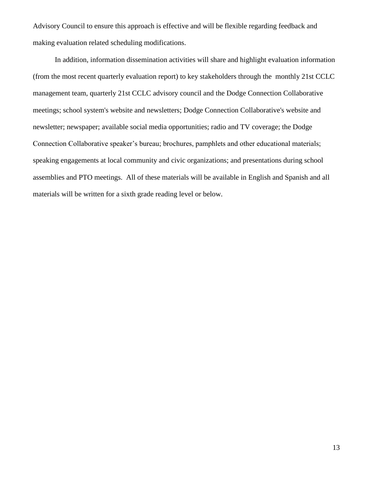Advisory Council to ensure this approach is effective and will be flexible regarding feedback and making evaluation related scheduling modifications.

In addition, information dissemination activities will share and highlight evaluation information (from the most recent quarterly evaluation report) to key stakeholders through the monthly 21st CCLC management team, quarterly 21st CCLC advisory council and the Dodge Connection Collaborative meetings; school system's website and newsletters; Dodge Connection Collaborative's website and newsletter; newspaper; available social media opportunities; radio and TV coverage; the Dodge Connection Collaborative speaker's bureau; brochures, pamphlets and other educational materials; speaking engagements at local community and civic organizations; and presentations during school assemblies and PTO meetings. All of these materials will be available in English and Spanish and all materials will be written for a sixth grade reading level or below.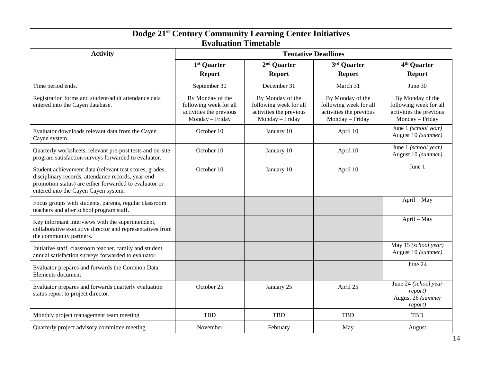| Dodge 21 <sup>st</sup> Century Community Learning Center Initiatives<br><b>Evaluation Timetable</b>                                                                                                             |                                                                                          |                                                                                          |                                                                                          |                                                                                          |  |
|-----------------------------------------------------------------------------------------------------------------------------------------------------------------------------------------------------------------|------------------------------------------------------------------------------------------|------------------------------------------------------------------------------------------|------------------------------------------------------------------------------------------|------------------------------------------------------------------------------------------|--|
| <b>Tentative Deadlines</b><br><b>Activity</b>                                                                                                                                                                   |                                                                                          |                                                                                          |                                                                                          |                                                                                          |  |
|                                                                                                                                                                                                                 | 1 <sup>st</sup> Quarter<br><b>Report</b>                                                 | $2nd$ Quarter<br><b>Report</b>                                                           | 3rd Quarter<br><b>Report</b>                                                             | 4 <sup>th</sup> Quarter<br><b>Report</b>                                                 |  |
| Time period ends.                                                                                                                                                                                               | September 30                                                                             | December 31                                                                              | March 31                                                                                 | June 30                                                                                  |  |
| Registration forms and student/adult attendance data<br>entered into the Cayen database.                                                                                                                        | By Monday of the<br>following week for all<br>activities the previous<br>Monday - Friday | By Monday of the<br>following week for all<br>activities the previous<br>Monday - Friday | By Monday of the<br>following week for all<br>activities the previous<br>Monday - Friday | By Monday of the<br>following week for all<br>activities the previous<br>Monday - Friday |  |
| Evaluator downloads relevant data from the Cayen<br>Cayen system.                                                                                                                                               | October 10                                                                               | January 10                                                                               | April 10                                                                                 | June 1 (school year)<br>August 10 (summer)                                               |  |
| Quarterly worksheets, relevant pre-post tests and on-site<br>program satisfaction surveys forwarded to evaluator.                                                                                               | October 10                                                                               | January 10                                                                               | April 10                                                                                 | June 1 (school year)<br>August 10 (summer)                                               |  |
| Student achievement data (relevant test scores, grades,<br>disciplinary records, attendance records, year-end<br>promotion status) are either forwarded to evaluator or<br>entered into the Cayen Cayen system. | October 10                                                                               | January 10                                                                               | April 10                                                                                 | June 1                                                                                   |  |
| Focus groups with students, parents, regular classroom<br>teachers and after school program staff.                                                                                                              |                                                                                          |                                                                                          |                                                                                          | April - May                                                                              |  |
| Key informant interviews with the superintendent,<br>collaborative executive director and representatives from<br>the community partners.                                                                       |                                                                                          |                                                                                          |                                                                                          | April - May                                                                              |  |
| Initiative staff, classroom teacher, family and student<br>annual satisfaction surveys forwarded to evaluator.                                                                                                  |                                                                                          |                                                                                          |                                                                                          | May 15 (school year)<br>August 10 (summer)                                               |  |
| Evaluator prepares and forwards the Common Data<br>Elements document                                                                                                                                            |                                                                                          |                                                                                          |                                                                                          | June 24                                                                                  |  |
| Evaluator prepares and forwards quarterly evaluation<br>status report to project director.                                                                                                                      | October 25                                                                               | January 25                                                                               | April 25                                                                                 | June 24 (school year<br>report)<br>August 26 (summer<br>report)                          |  |
| Monthly project management team meeting                                                                                                                                                                         | <b>TBD</b>                                                                               | <b>TBD</b>                                                                               | <b>TBD</b>                                                                               | <b>TBD</b>                                                                               |  |
| Quarterly project advisory committee meeting                                                                                                                                                                    | November                                                                                 | February                                                                                 | May                                                                                      | August                                                                                   |  |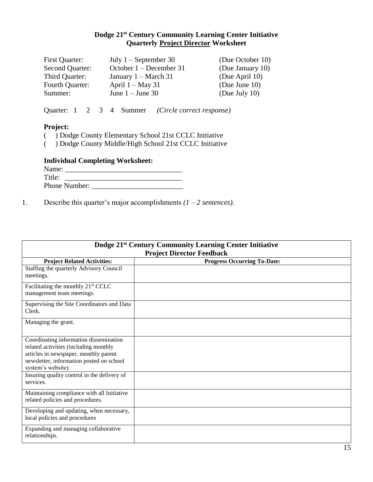## **Dodge 21st Century Community Learning Center Initiative Quarterly Project Director Worksheet**

| First Quarter:         | July $1 -$ September 30        | (Due October 10) |
|------------------------|--------------------------------|------------------|
| <b>Second Quarter:</b> | October 1 – December 31        | (Due January 10) |
| Third Quarter:         | January $1 - \text{March } 31$ | (Due April 10)   |
| <b>Fourth Quarter:</b> | April $1 - May 31$             | (Due June $10$ ) |
| Summer:                | June $1 -$ June 30             | (Due July 10)    |
|                        |                                |                  |

Quarter: 1 2 3 4 Summer *(Circle correct response)*

#### **Project:**

- ( ) Dodge County Elementary School 21st CCLC Initiative
- ( ) Dodge County Middle/High School 21st CCLC Initiative

#### **Individual Completing Worksheet:**

| Name:         |  |
|---------------|--|
| Title:        |  |
| Phone Number: |  |

1. Describe this quarter's major accomplishments  $(1 – 2$  sentences).

| Dodge 21 <sup>st</sup> Century Community Learning Center Initiative                                                                                                                        |                                    |  |  |  |
|--------------------------------------------------------------------------------------------------------------------------------------------------------------------------------------------|------------------------------------|--|--|--|
| <b>Project Director Feedback</b>                                                                                                                                                           |                                    |  |  |  |
| <b>Project Related Activities:</b>                                                                                                                                                         | <b>Progress Occurring To-Date:</b> |  |  |  |
| Staffing the quarterly Advisory Council<br>meetings.                                                                                                                                       |                                    |  |  |  |
| Facilitating the monthly 21 <sup>st</sup> CCLC<br>management team meetings.                                                                                                                |                                    |  |  |  |
| Supervising the Site Coordinators and Data<br>Clerk.                                                                                                                                       |                                    |  |  |  |
| Managing the grant.                                                                                                                                                                        |                                    |  |  |  |
| Coordinating information dissemination<br>related activities (including monthly<br>articles in newspaper, monthly parent<br>newsletter, information posted on school<br>system's website). |                                    |  |  |  |
| Insuring quality control in the delivery of<br>services.                                                                                                                                   |                                    |  |  |  |
| Maintaining compliance with all Initiative<br>related policies and procedures.                                                                                                             |                                    |  |  |  |
| Developing and updating, when necessary,<br>local policies and procedures                                                                                                                  |                                    |  |  |  |
| Expanding and managing collaborative<br>relationships.                                                                                                                                     |                                    |  |  |  |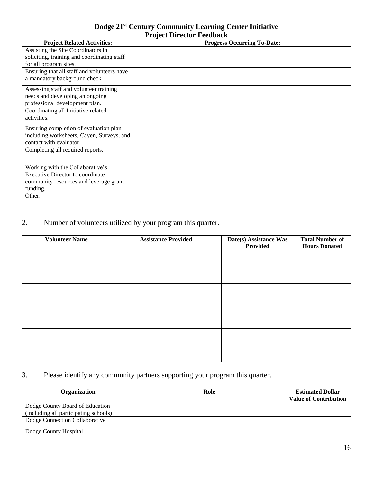| Dodge 21 <sup>st</sup> Century Community Learning Center Initiative |                                    |  |  |  |
|---------------------------------------------------------------------|------------------------------------|--|--|--|
| <b>Project Director Feedback</b>                                    |                                    |  |  |  |
| <b>Project Related Activities:</b>                                  | <b>Progress Occurring To-Date:</b> |  |  |  |
| Assisting the Site Coordinators in                                  |                                    |  |  |  |
| soliciting, training and coordinating staff                         |                                    |  |  |  |
| for all program sites.                                              |                                    |  |  |  |
| Ensuring that all staff and volunteers have                         |                                    |  |  |  |
| a mandatory background check.                                       |                                    |  |  |  |
| Assessing staff and volunteer training                              |                                    |  |  |  |
| needs and developing an ongoing                                     |                                    |  |  |  |
| professional development plan.                                      |                                    |  |  |  |
| Coordinating all Initiative related                                 |                                    |  |  |  |
| activities.                                                         |                                    |  |  |  |
| Ensuring completion of evaluation plan                              |                                    |  |  |  |
| including worksheets, Cayen, Surveys, and                           |                                    |  |  |  |
| contact with evaluator.                                             |                                    |  |  |  |
| Completing all required reports.                                    |                                    |  |  |  |
|                                                                     |                                    |  |  |  |
| Working with the Collaborative's                                    |                                    |  |  |  |
| <b>Executive Director to coordinate</b>                             |                                    |  |  |  |
| community resources and leverage grant                              |                                    |  |  |  |
| funding.                                                            |                                    |  |  |  |
| Other:                                                              |                                    |  |  |  |
|                                                                     |                                    |  |  |  |

# 2. Number of volunteers utilized by your program this quarter.

| <b>Volunteer Name</b> | <b>Assistance Provided</b> | Date(s) Assistance Was<br>Provided | <b>Total Number of</b><br><b>Hours Donated</b> |
|-----------------------|----------------------------|------------------------------------|------------------------------------------------|
|                       |                            |                                    |                                                |
|                       |                            |                                    |                                                |
|                       |                            |                                    |                                                |
|                       |                            |                                    |                                                |
|                       |                            |                                    |                                                |
|                       |                            |                                    |                                                |
|                       |                            |                                    |                                                |
|                       |                            |                                    |                                                |
|                       |                            |                                    |                                                |
|                       |                            |                                    |                                                |

# 3. Please identify any community partners supporting your program this quarter.

| <b>Organization</b>                                                      | Role | <b>Estimated Dollar</b><br><b>Value of Contribution</b> |
|--------------------------------------------------------------------------|------|---------------------------------------------------------|
| Dodge County Board of Education<br>(including all participating schools) |      |                                                         |
| Dodge Connection Collaborative                                           |      |                                                         |
| Dodge County Hospital                                                    |      |                                                         |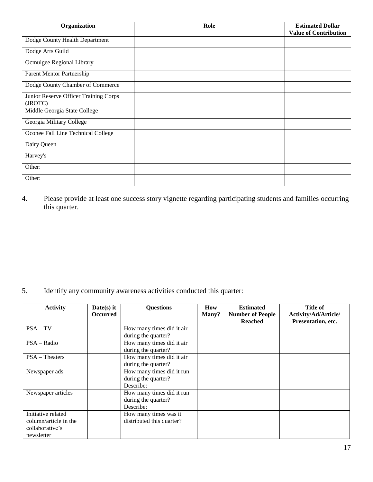| Organization                                     | Role | <b>Estimated Dollar</b>      |
|--------------------------------------------------|------|------------------------------|
|                                                  |      | <b>Value of Contribution</b> |
| Dodge County Health Department                   |      |                              |
| Dodge Arts Guild                                 |      |                              |
| Ocmulgee Regional Library                        |      |                              |
| Parent Mentor Partnership                        |      |                              |
| Dodge County Chamber of Commerce                 |      |                              |
| Junior Reserve Officer Training Corps<br>(JROTC) |      |                              |
| Middle Georgia State College                     |      |                              |
| Georgia Military College                         |      |                              |
| Oconee Fall Line Technical College               |      |                              |
| Dairy Queen                                      |      |                              |
| Harvey's                                         |      |                              |
| Other:                                           |      |                              |
| Other:                                           |      |                              |

4. Please provide at least one success story vignette regarding participating students and families occurring this quarter.

5. Identify any community awareness activities conducted this quarter:

| <b>Activity</b>                                                              | $Date(s)$ it<br><b>Occurred</b> | <b>Questions</b>                                              | How<br>Many? | <b>Estimated</b><br><b>Number of People</b><br><b>Reached</b> | <b>Title of</b><br>Activity/Ad/Article/<br>Presentation, etc. |
|------------------------------------------------------------------------------|---------------------------------|---------------------------------------------------------------|--------------|---------------------------------------------------------------|---------------------------------------------------------------|
| $PSA - TV$                                                                   |                                 | How many times did it air<br>during the quarter?              |              |                                                               |                                                               |
| $PSA - Radio$                                                                |                                 | How many times did it air<br>during the quarter?              |              |                                                               |                                                               |
| $PSA$ – Theaters                                                             |                                 | How many times did it air<br>during the quarter?              |              |                                                               |                                                               |
| Newspaper ads                                                                |                                 | How many times did it run<br>during the quarter?<br>Describe: |              |                                                               |                                                               |
| Newspaper articles                                                           |                                 | How many times did it run<br>during the quarter?<br>Describe: |              |                                                               |                                                               |
| Initiative related<br>column/article in the<br>collaborative's<br>newsletter |                                 | How many times was it<br>distributed this quarter?            |              |                                                               |                                                               |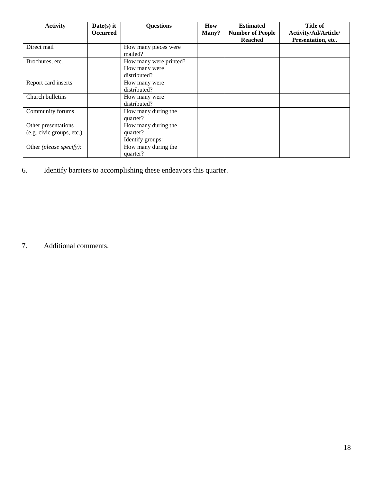| <b>Activity</b>                                  | Date(s) it<br><b>Occurred</b> | <b>Questions</b>                                        | How<br>Many? | <b>Estimated</b><br><b>Number of People</b><br><b>Reached</b> | <b>Title of</b><br>Activity/Ad/Article/<br>Presentation, etc. |
|--------------------------------------------------|-------------------------------|---------------------------------------------------------|--------------|---------------------------------------------------------------|---------------------------------------------------------------|
| Direct mail                                      |                               | How many pieces were<br>mailed?                         |              |                                                               |                                                               |
| Brochures, etc.                                  |                               | How many were printed?<br>How many were<br>distributed? |              |                                                               |                                                               |
| Report card inserts                              |                               | How many were<br>distributed?                           |              |                                                               |                                                               |
| Church bulletins                                 |                               | How many were<br>distributed?                           |              |                                                               |                                                               |
| Community forums                                 |                               | How many during the<br>quarter?                         |              |                                                               |                                                               |
| Other presentations<br>(e.g. civic groups, etc.) |                               | How many during the<br>quarter?<br>Identify groups:     |              |                                                               |                                                               |
| Other (please specify):                          |                               | How many during the<br>quarter?                         |              |                                                               |                                                               |

6. Identify barriers to accomplishing these endeavors this quarter.

7. Additional comments.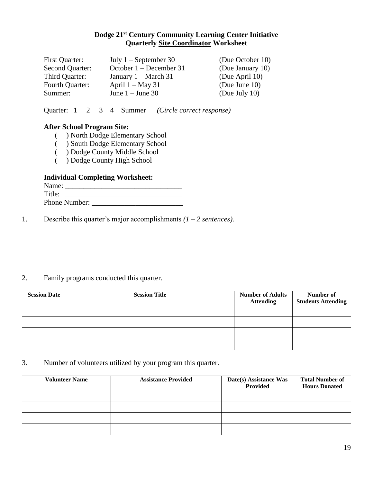## **Dodge 21st Century Community Learning Center Initiative Quarterly Site Coordinator Worksheet**

| First Quarter:  | July $1 -$ September 30        | (Due October 10) |
|-----------------|--------------------------------|------------------|
| Second Quarter: | October 1 – December 31        | (Due January 10) |
| Third Quarter:  | January $1 - \text{March } 31$ | (Due April 10)   |
| Fourth Quarter: | April $1 - May 31$             | (Due June $10$ ) |
| Summer:         | June $1 -$ June 30             | (Due July 10)    |

Quarter: 1 2 3 4 Summer *(Circle correct response)*

#### **After School Program Site:**

- ( ) North Dodge Elementary School
- ( ) South Dodge Elementary School
- ( ) Dodge County Middle School
- ( ) Dodge County High School

#### **Individual Completing Worksheet:**

| Name:         |  |
|---------------|--|
| Title:        |  |
| Phone Number: |  |

1. Describe this quarter's major accomplishments  $(1 – 2$  sentences).

#### 2. Family programs conducted this quarter.

| <b>Session Date</b> | <b>Session Title</b> | <b>Number of Adults</b><br><b>Attending</b> | Number of<br><b>Students Attending</b> |
|---------------------|----------------------|---------------------------------------------|----------------------------------------|
|                     |                      |                                             |                                        |
|                     |                      |                                             |                                        |
|                     |                      |                                             |                                        |
|                     |                      |                                             |                                        |

3. Number of volunteers utilized by your program this quarter.

| <b>Volunteer Name</b> | <b>Assistance Provided</b> | Date(s) Assistance Was<br>Provided | <b>Total Number of</b><br><b>Hours Donated</b> |
|-----------------------|----------------------------|------------------------------------|------------------------------------------------|
|                       |                            |                                    |                                                |
|                       |                            |                                    |                                                |
|                       |                            |                                    |                                                |
|                       |                            |                                    |                                                |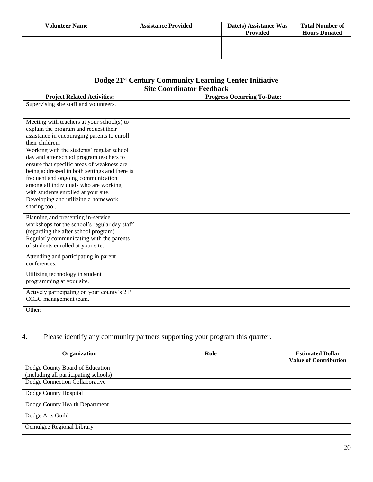| <b>Volunteer Name</b> | <b>Assistance Provided</b> | Date(s) Assistance Was<br><b>Provided</b> | <b>Total Number of</b><br><b>Hours Donated</b> |
|-----------------------|----------------------------|-------------------------------------------|------------------------------------------------|
|                       |                            |                                           |                                                |
|                       |                            |                                           |                                                |

| Dodge 21 <sup>st</sup> Century Community Learning Center Initiative               |                                    |  |
|-----------------------------------------------------------------------------------|------------------------------------|--|
| <b>Site Coordinator Feedback</b>                                                  |                                    |  |
| <b>Project Related Activities:</b>                                                | <b>Progress Occurring To-Date:</b> |  |
| Supervising site staff and volunteers.                                            |                                    |  |
|                                                                                   |                                    |  |
| Meeting with teachers at your school(s) to                                        |                                    |  |
| explain the program and request their                                             |                                    |  |
| assistance in encouraging parents to enroll                                       |                                    |  |
| their children.                                                                   |                                    |  |
| Working with the students' regular school                                         |                                    |  |
| day and after school program teachers to                                          |                                    |  |
| ensure that specific areas of weakness are                                        |                                    |  |
| being addressed in both settings and there is                                     |                                    |  |
| frequent and ongoing communication                                                |                                    |  |
| among all individuals who are working                                             |                                    |  |
| with students enrolled at your site.                                              |                                    |  |
| Developing and utilizing a homework                                               |                                    |  |
| sharing tool.                                                                     |                                    |  |
| Planning and presenting in-service                                                |                                    |  |
| workshops for the school's regular day staff                                      |                                    |  |
| (regarding the after school program)                                              |                                    |  |
| Regularly communicating with the parents                                          |                                    |  |
| of students enrolled at your site.                                                |                                    |  |
| Attending and participating in parent                                             |                                    |  |
| conferences.                                                                      |                                    |  |
| Utilizing technology in student                                                   |                                    |  |
| programming at your site.                                                         |                                    |  |
|                                                                                   |                                    |  |
| Actively participating on your county's 21 <sup>st</sup><br>CCLC management team. |                                    |  |
|                                                                                   |                                    |  |
| Other:                                                                            |                                    |  |
|                                                                                   |                                    |  |

# 4. Please identify any community partners supporting your program this quarter.

| Organization                                                             | Role | <b>Estimated Dollar</b><br><b>Value of Contribution</b> |
|--------------------------------------------------------------------------|------|---------------------------------------------------------|
| Dodge County Board of Education<br>(including all participating schools) |      |                                                         |
| Dodge Connection Collaborative                                           |      |                                                         |
| Dodge County Hospital                                                    |      |                                                         |
| Dodge County Health Department                                           |      |                                                         |
| Dodge Arts Guild                                                         |      |                                                         |
| Ocmulgee Regional Library                                                |      |                                                         |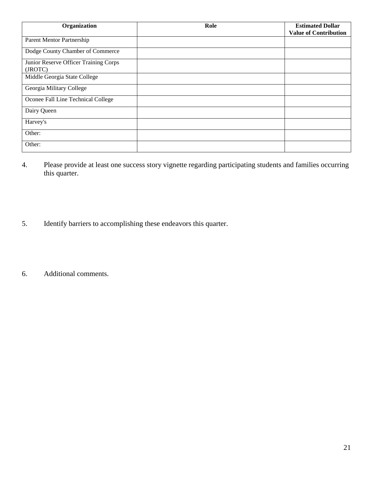| Organization                                     | Role | <b>Estimated Dollar</b>      |
|--------------------------------------------------|------|------------------------------|
|                                                  |      | <b>Value of Contribution</b> |
| Parent Mentor Partnership                        |      |                              |
| Dodge County Chamber of Commerce                 |      |                              |
| Junior Reserve Officer Training Corps<br>(JROTC) |      |                              |
| Middle Georgia State College                     |      |                              |
| Georgia Military College                         |      |                              |
| Oconee Fall Line Technical College               |      |                              |
| Dairy Queen                                      |      |                              |
| Harvey's                                         |      |                              |
| Other:                                           |      |                              |
| Other:                                           |      |                              |

- 4. Please provide at least one success story vignette regarding participating students and families occurring this quarter.
- 5. Identify barriers to accomplishing these endeavors this quarter.
- 6. Additional comments.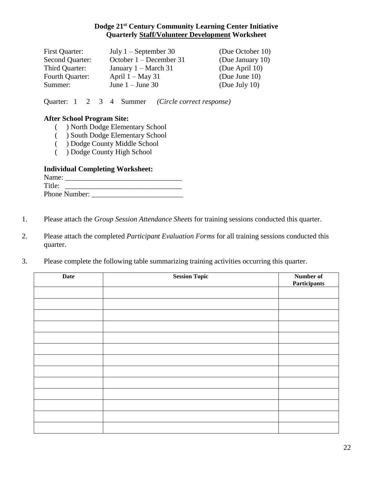#### **Dodge 21st Century Community Learning Center Initiative Quarterly Staff/Volunteer Development Worksheet**

| First Quarter:  | July $1 -$ September 30   | (Due October 10) |
|-----------------|---------------------------|------------------|
| Second Quarter: | October $1 -$ December 31 | (Due January 10) |
| Third Quarter:  | January $1 - March 31$    | (Due April 10)   |
| Fourth Quarter: | April $1 - May 31$        | (Due June $10$ ) |
| Summer:         | June $1 -$ June 30        | (Due July 10)    |

Quarter: 1 2 3 4 Summer *(Circle correct response)*

#### **After School Program Site:**

- ( ) North Dodge Elementary School
- ( ) South Dodge Elementary School
- ( ) Dodge County Middle School
- ( ) Dodge County High School

#### **Individual Completing Worksheet:**

| Name:         |  |
|---------------|--|
| Title:        |  |
| Phone Number: |  |

- 1. Please attach the *Group Session Attendance Sheets* for training sessions conducted this quarter.
- 2. Please attach the completed *Participant Evaluation Forms* for all training sessions conducted this quarter.
- 3. Please complete the following table summarizing training activities occurring this quarter.

| <b>Date</b> | <b>Session Topic</b> | Number of           |
|-------------|----------------------|---------------------|
|             |                      | <b>Participants</b> |
|             |                      |                     |
|             |                      |                     |
|             |                      |                     |
|             |                      |                     |
|             |                      |                     |
|             |                      |                     |
|             |                      |                     |
|             |                      |                     |
|             |                      |                     |
|             |                      |                     |
|             |                      |                     |
|             |                      |                     |
|             |                      |                     |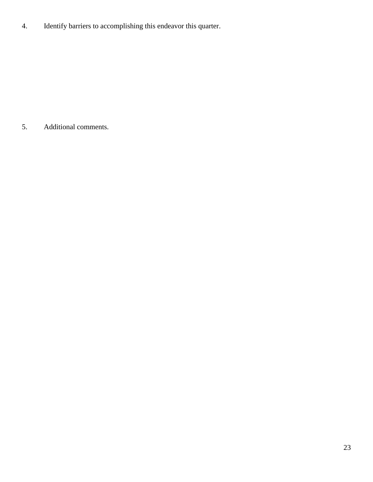4. Identify barriers to accomplishing this endeavor this quarter.

5. Additional comments.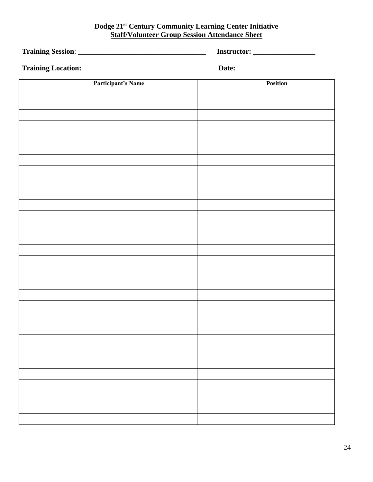#### **Dodge 21st Century Community Learning Center Initiative Staff/Volunteer Group Session Attendance Sheet**

|                           | <b>Instructor:</b> _________________ |
|---------------------------|--------------------------------------|
|                           |                                      |
| <b>Participant's Name</b> | Position                             |
|                           |                                      |
|                           |                                      |
|                           |                                      |
|                           |                                      |
|                           |                                      |
|                           |                                      |
|                           |                                      |
|                           |                                      |
|                           |                                      |
|                           |                                      |
|                           |                                      |
|                           |                                      |
|                           |                                      |
|                           |                                      |
|                           |                                      |
|                           |                                      |
|                           |                                      |
|                           |                                      |
|                           |                                      |
|                           |                                      |
|                           |                                      |
|                           |                                      |
|                           |                                      |
|                           |                                      |
|                           |                                      |
|                           |                                      |
|                           |                                      |
|                           |                                      |
|                           |                                      |
|                           |                                      |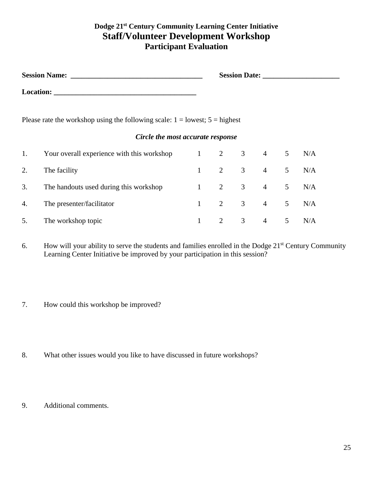## **Dodge 21st Century Community Learning Center Initiative Staff/Volunteer Development Workshop Participant Evaluation**

| Please rate the workshop using the following scale: $1 =$ lowest; $5 =$ highest |  |
|---------------------------------------------------------------------------------|--|
| Circle the most accurate response                                               |  |

| 1. | Your overall experience with this workshop | $\sim 1$ | 2 | 3 <sup>7</sup> | 4 | 5 <sup>5</sup> | N/A                            |
|----|--------------------------------------------|----------|---|----------------|---|----------------|--------------------------------|
| 2. | The facility                               |          |   |                |   |                | $1 \t2 \t3 \t4 \t5 \t N/A$     |
| 3. | The handouts used during this workshop     |          |   |                |   |                | $1 \t 2 \t 3 \t 4 \t 5 \t N/A$ |
|    | 4. The presenter/facilitator               |          |   |                |   |                | $1 \t 2 \t 3 \t 4 \t 5 \t N/A$ |
| 5. | The workshop topic                         | $\sim$ 1 |   |                |   |                | 2 3 4 5 N/A                    |

- 6. How will your ability to serve the students and families enrolled in the Dodge  $21<sup>st</sup>$  Century Community Learning Center Initiative be improved by your participation in this session?
- 7. How could this workshop be improved?
- 8. What other issues would you like to have discussed in future workshops?
- 9. Additional comments.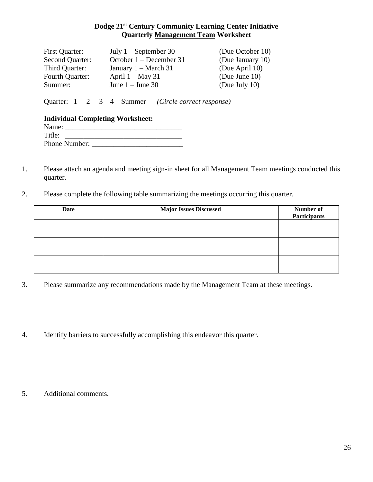### **Dodge 21st Century Community Learning Center Initiative Quarterly Management Team Worksheet**

| First Quarter:  | July $1 -$ September 30 | (Due October 10) |
|-----------------|-------------------------|------------------|
| Second Quarter: | October 1 – December 31 | (Due January 10) |
| Third Quarter:  | January $1 - March 31$  | (Due April 10)   |
| Fourth Quarter: | April $1 - May 31$      | (Due June $10$ ) |
| Summer:         | June $1 -$ June 30      | (Due July 10)    |

Quarter: 1 2 3 4 Summer *(Circle correct response)*

| <b>Individual Completing Worksheet:</b> |  |  |
|-----------------------------------------|--|--|
| Name:                                   |  |  |
| Title:                                  |  |  |
| Phone Number:                           |  |  |

- 1. Please attach an agenda and meeting sign-in sheet for all Management Team meetings conducted this quarter.
- 2. Please complete the following table summarizing the meetings occurring this quarter.

| Date | <b>Major Issues Discussed</b> | Number of<br><b>Participants</b> |
|------|-------------------------------|----------------------------------|
|      |                               |                                  |
|      |                               |                                  |
|      |                               |                                  |

- 3. Please summarize any recommendations made by the Management Team at these meetings.
- 4. Identify barriers to successfully accomplishing this endeavor this quarter.

5. Additional comments.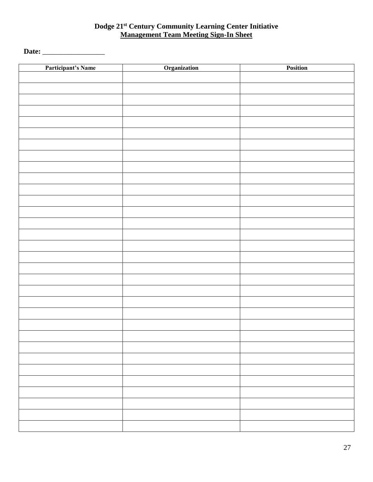#### **Dodge 21st Century Community Learning Center Initiative Management Team Meeting Sign-In Sheet**

**Date:** \_\_\_\_\_\_\_\_\_\_\_\_\_\_\_\_\_

| Participant's Name | Organization | Position |
|--------------------|--------------|----------|
|                    |              |          |
|                    |              |          |
|                    |              |          |
|                    |              |          |
|                    |              |          |
|                    |              |          |
|                    |              |          |
|                    |              |          |
|                    |              |          |
|                    |              |          |
|                    |              |          |
|                    |              |          |
|                    |              |          |
|                    |              |          |
|                    |              |          |
|                    |              |          |
|                    |              |          |
|                    |              |          |
|                    |              |          |
|                    |              |          |
|                    |              |          |
|                    |              |          |
|                    |              |          |
|                    |              |          |
|                    |              |          |
|                    |              |          |
|                    |              |          |
|                    |              |          |
|                    |              |          |
|                    |              |          |
|                    |              |          |
|                    |              |          |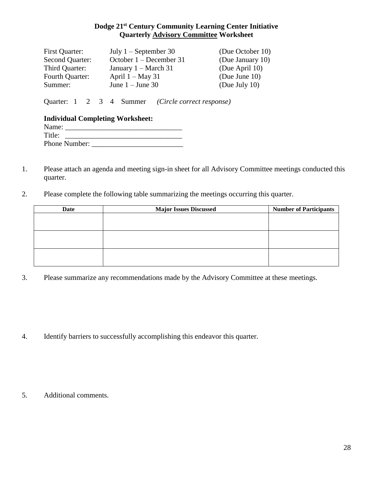### **Dodge 21st Century Community Learning Center Initiative Quarterly Advisory Committee Worksheet**

| July $1 -$ September 30        | (Due October 10) |
|--------------------------------|------------------|
| October 1 – December 31        | (Due January 10) |
| January $1 - \text{March } 31$ | (Due April 10)   |
| April $1 - May 31$             | (Due June $10$ ) |
| June $1 -$ June 30             | (Due July 10)    |
|                                |                  |

Quarter: 1 2 3 4 Summer *(Circle correct response)*

| <b>Individual Completing Worksheet:</b> |  |  |
|-----------------------------------------|--|--|
| Name:                                   |  |  |
| Title:                                  |  |  |
| Phone Number:                           |  |  |
|                                         |  |  |

- 1. Please attach an agenda and meeting sign-in sheet for all Advisory Committee meetings conducted this quarter.
- 2. Please complete the following table summarizing the meetings occurring this quarter.

| Date | <b>Major Issues Discussed</b> | <b>Number of Participants</b> |
|------|-------------------------------|-------------------------------|
|      |                               |                               |
|      |                               |                               |
|      |                               |                               |
|      |                               |                               |
|      |                               |                               |
|      |                               |                               |
|      |                               |                               |
|      |                               |                               |
|      |                               |                               |

3. Please summarize any recommendations made by the Advisory Committee at these meetings.

4. Identify barriers to successfully accomplishing this endeavor this quarter.

5. Additional comments.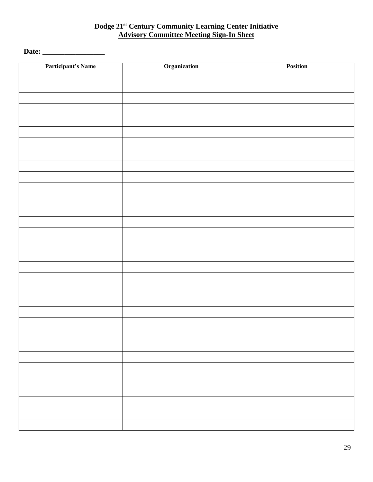#### **Dodge 21st Century Community Learning Center Initiative Advisory Committee Meeting Sign-In Sheet**

**Date:** \_\_\_\_\_\_\_\_\_\_\_\_\_\_\_\_\_

| Participant's Name | Organization | Position |
|--------------------|--------------|----------|
|                    |              |          |
|                    |              |          |
|                    |              |          |
|                    |              |          |
|                    |              |          |
|                    |              |          |
|                    |              |          |
|                    |              |          |
|                    |              |          |
|                    |              |          |
|                    |              |          |
|                    |              |          |
|                    |              |          |
|                    |              |          |
|                    |              |          |
|                    |              |          |
|                    |              |          |
|                    |              |          |
|                    |              |          |
|                    |              |          |
|                    |              |          |
|                    |              |          |
|                    |              |          |
|                    |              |          |
|                    |              |          |
|                    |              |          |
|                    |              |          |
|                    |              |          |
|                    |              |          |
|                    |              |          |
|                    |              |          |
|                    |              |          |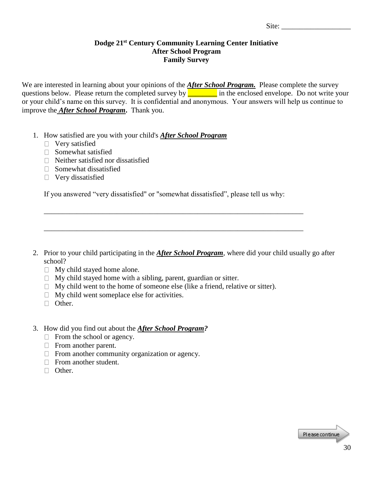#### **Dodge 21st Century Community Learning Center Initiative After School Program Family Survey**

We are interested in learning about your opinions of the *After School Program*. Please complete the survey questions below. Please return the completed survey by **<u>\_\_\_\_\_\_</u>** in the enclosed envelope. Do not write your or your child's name on this survey. It is confidential and anonymous. Your answers will help us continue to improve the *After School Program***.** Thank you.

- 1. How satisfied are you with your child's *After School Program*
	- □ Very satisfied
	- $\Box$  Somewhat satisfied
	- $\Box$  Neither satisfied nor dissatisfied
	- $\Box$  Somewhat dissatisfied
	- Very dissatisfied

If you answered "very dissatisfied" or "somewhat dissatisfied", please tell us why:

\_\_\_\_\_\_\_\_\_\_\_\_\_\_\_\_\_\_\_\_\_\_\_\_\_\_\_\_\_\_\_\_\_\_\_\_\_\_\_\_\_\_\_\_\_\_\_\_\_\_\_\_\_\_\_\_\_\_\_\_\_\_\_\_\_\_\_\_\_\_\_

\_\_\_\_\_\_\_\_\_\_\_\_\_\_\_\_\_\_\_\_\_\_\_\_\_\_\_\_\_\_\_\_\_\_\_\_\_\_\_\_\_\_\_\_\_\_\_\_\_\_\_\_\_\_\_\_\_\_\_\_\_\_\_\_\_\_\_\_\_\_\_

- 2. Prior to your child participating in the *After School Program*, where did your child usually go after school?
	- $\Box$  My child stayed home alone.
	- $\Box$  My child stayed home with a sibling, parent, guardian or sitter.
	- $\Box$  My child went to the home of someone else (like a friend, relative or sitter).
	- $\Box$  My child went someplace else for activities.
	- □ Other.
- 3. How did you find out about the *After School Program?*
	- $\Box$  From the school or agency.
	- From another parent.
	- $\Box$  From another community organization or agency.
	- **From another student.**
	- □ Other.

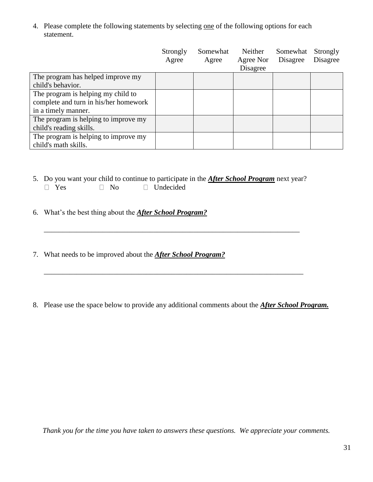4. Please complete the following statements by selecting one of the following options for each statement.

|                                       | Strongly | Somewhat | Neither   | Somewhat | Strongly |
|---------------------------------------|----------|----------|-----------|----------|----------|
|                                       | Agree    | Agree    | Agree Nor | Disagree | Disagree |
|                                       |          |          | Disagree  |          |          |
| The program has helped improve my     |          |          |           |          |          |
| child's behavior.                     |          |          |           |          |          |
| The program is helping my child to    |          |          |           |          |          |
| complete and turn in his/her homework |          |          |           |          |          |
| in a timely manner.                   |          |          |           |          |          |
| The program is helping to improve my  |          |          |           |          |          |
| child's reading skills.               |          |          |           |          |          |
| The program is helping to improve my  |          |          |           |          |          |
| child's math skills.                  |          |          |           |          |          |

5. Do you want your child to continue to participate in the *After School Program* next year? □ Yes □ No □ Undecided

\_\_\_\_\_\_\_\_\_\_\_\_\_\_\_\_\_\_\_\_\_\_\_\_\_\_\_\_\_\_\_\_\_\_\_\_\_\_\_\_\_\_\_\_\_\_\_\_\_\_\_\_\_\_\_\_\_\_\_\_\_\_\_\_\_\_\_\_\_\_

\_\_\_\_\_\_\_\_\_\_\_\_\_\_\_\_\_\_\_\_\_\_\_\_\_\_\_\_\_\_\_\_\_\_\_\_\_\_\_\_\_\_\_\_\_\_\_\_\_\_\_\_\_\_\_\_\_\_\_\_\_\_\_\_\_\_\_\_\_\_\_

- 6. What's the best thing about the *After School Program?*
- 7. What needs to be improved about the *After School Program?*
- 8. Please use the space below to provide any additional comments about the *After School Program.*

*Thank you for the time you have taken to answers these questions. We appreciate your comments.*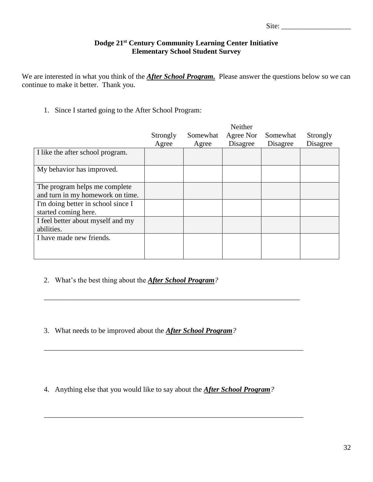### **Dodge 21st Century Community Learning Center Initiative Elementary School Student Survey**

We are interested in what you think of the *After School Program*. Please answer the questions below so we can continue to make it better. Thank you.

1. Since I started going to the After School Program:

|                                    |          |          | Neither   |          |          |
|------------------------------------|----------|----------|-----------|----------|----------|
|                                    | Strongly | Somewhat | Agree Nor | Somewhat | Strongly |
|                                    | Agree    | Agree    | Disagree  | Disagree | Disagree |
| I like the after school program.   |          |          |           |          |          |
| My behavior has improved.          |          |          |           |          |          |
| The program helps me complete      |          |          |           |          |          |
| and turn in my homework on time.   |          |          |           |          |          |
| I'm doing better in school since I |          |          |           |          |          |
| started coming here.               |          |          |           |          |          |
| I feel better about myself and my  |          |          |           |          |          |
| abilities.                         |          |          |           |          |          |
| I have made new friends.           |          |          |           |          |          |
|                                    |          |          |           |          |          |
|                                    |          |          |           |          |          |

- 2. What's the best thing about the *After School Program?*
- 3. What needs to be improved about the *After School Program?*

4. Anything else that you would like to say about the *After School Program?*

\_\_\_\_\_\_\_\_\_\_\_\_\_\_\_\_\_\_\_\_\_\_\_\_\_\_\_\_\_\_\_\_\_\_\_\_\_\_\_\_\_\_\_\_\_\_\_\_\_\_\_\_\_\_\_\_\_\_\_\_\_\_\_\_\_\_\_\_\_\_

\_\_\_\_\_\_\_\_\_\_\_\_\_\_\_\_\_\_\_\_\_\_\_\_\_\_\_\_\_\_\_\_\_\_\_\_\_\_\_\_\_\_\_\_\_\_\_\_\_\_\_\_\_\_\_\_\_\_\_\_\_\_\_\_\_\_\_\_\_\_\_

\_\_\_\_\_\_\_\_\_\_\_\_\_\_\_\_\_\_\_\_\_\_\_\_\_\_\_\_\_\_\_\_\_\_\_\_\_\_\_\_\_\_\_\_\_\_\_\_\_\_\_\_\_\_\_\_\_\_\_\_\_\_\_\_\_\_\_\_\_\_\_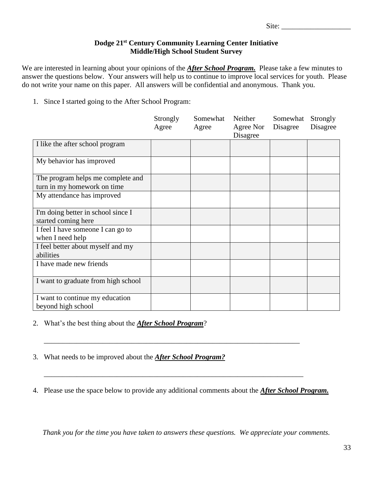#### **Dodge 21st Century Community Learning Center Initiative Middle/High School Student Survey**

We are interested in learning about your opinions of the *After School Program.* Please take a few minutes to answer the questions below. Your answers will help us to continue to improve local services for youth. Please do not write your name on this paper. All answers will be confidential and anonymous. Thank you.

1. Since I started going to the After School Program:

|                                                                  | Strongly<br>Agree | Somewhat<br>Agree | Neither<br>Agree Nor<br>Disagree | Somewhat<br>Disagree | Strongly<br>Disagree |
|------------------------------------------------------------------|-------------------|-------------------|----------------------------------|----------------------|----------------------|
| I like the after school program                                  |                   |                   |                                  |                      |                      |
| My behavior has improved                                         |                   |                   |                                  |                      |                      |
| The program helps me complete and<br>turn in my homework on time |                   |                   |                                  |                      |                      |
| My attendance has improved                                       |                   |                   |                                  |                      |                      |
| I'm doing better in school since I<br>started coming here        |                   |                   |                                  |                      |                      |
| I feel I have someone I can go to<br>when I need help            |                   |                   |                                  |                      |                      |
| I feel better about myself and my<br>abilities                   |                   |                   |                                  |                      |                      |
| I have made new friends                                          |                   |                   |                                  |                      |                      |
| I want to graduate from high school                              |                   |                   |                                  |                      |                      |
| I want to continue my education<br>beyond high school            |                   |                   |                                  |                      |                      |

- 2. What's the best thing about the *After School Program*?
- 3. What needs to be improved about the *After School Program?*
- 4. Please use the space below to provide any additional comments about the *After School Program.*

\_\_\_\_\_\_\_\_\_\_\_\_\_\_\_\_\_\_\_\_\_\_\_\_\_\_\_\_\_\_\_\_\_\_\_\_\_\_\_\_\_\_\_\_\_\_\_\_\_\_\_\_\_\_\_\_\_\_\_\_\_\_\_\_\_\_\_\_\_\_

\_\_\_\_\_\_\_\_\_\_\_\_\_\_\_\_\_\_\_\_\_\_\_\_\_\_\_\_\_\_\_\_\_\_\_\_\_\_\_\_\_\_\_\_\_\_\_\_\_\_\_\_\_\_\_\_\_\_\_\_\_\_\_\_\_\_\_\_\_\_\_

*Thank you for the time you have taken to answers these questions. We appreciate your comments.*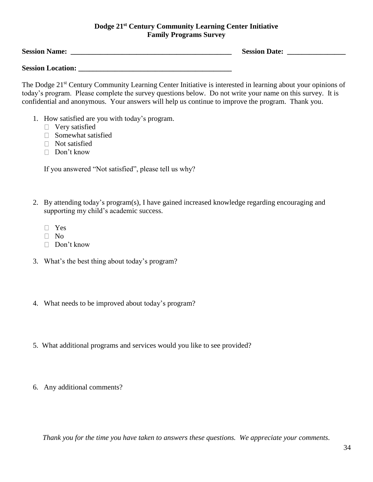#### **Dodge 21st Century Community Learning Center Initiative Family Programs Survey**

| <b>Session Name:</b>     | <b>Session Date:</b> |
|--------------------------|----------------------|
|                          |                      |
| <b>Session Location:</b> |                      |

The Dodge 21<sup>st</sup> Century Community Learning Center Initiative is interested in learning about your opinions of today's program. Please complete the survey questions below. Do not write your name on this survey. It is confidential and anonymous. Your answers will help us continue to improve the program. Thank you.

- 1. How satisfied are you with today's program.
	- □ Very satisfied
	- $\Box$  Somewhat satisfied
	- □ Not satisfied
	- $\Box$  Don't know

If you answered "Not satisfied", please tell us why?

- 2. By attending today's program(s), I have gained increased knowledge regarding encouraging and supporting my child's academic success.
	- Yes
	- $\Box$  No
	- Don't know
- 3. What's the best thing about today's program?
- 4. What needs to be improved about today's program?
- 5. What additional programs and services would you like to see provided?
- 6. Any additional comments?

*Thank you for the time you have taken to answers these questions. We appreciate your comments.*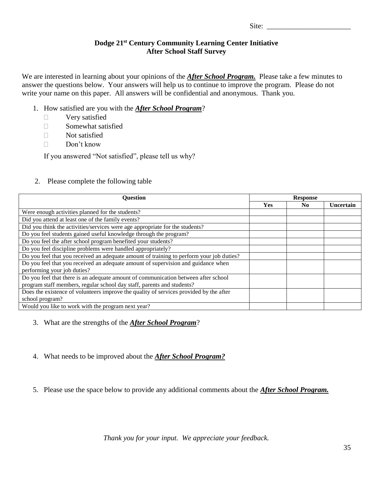#### **Dodge 21st Century Community Learning Center Initiative After School Staff Survey**

We are interested in learning about your opinions of the *After School Program.* Please take a few minutes to answer the questions below. Your answers will help us to continue to improve the program. Please do not write your name on this paper. All answers will be confidential and anonymous. Thank you.

- 1. How satisfied are you with the *After School Program*?
	- **Very satisfied**
	- Somewhat satisfied
	- $\neg$  Not satisfied
	- $\Box$  Don't know

If you answered "Not satisfied", please tell us why?

### 2. Please complete the following table

| <b>Question</b>                                                                          | <b>Response</b> |     |           |
|------------------------------------------------------------------------------------------|-----------------|-----|-----------|
|                                                                                          | <b>Yes</b>      | No. | Uncertain |
| Were enough activities planned for the students?                                         |                 |     |           |
| Did you attend at least one of the family events?                                        |                 |     |           |
| Did you think the activities/services were age appropriate for the students?             |                 |     |           |
| Do you feel students gained useful knowledge through the program?                        |                 |     |           |
| Do you feel the after school program benefited your students?                            |                 |     |           |
| Do you feel discipline problems were handled appropriately?                              |                 |     |           |
| Do you feel that you received an adequate amount of training to perform your job duties? |                 |     |           |
| Do you feel that you received an adequate amount of supervision and guidance when        |                 |     |           |
| performing your job duties?                                                              |                 |     |           |
| Do you feel that there is an adequate amount of communication between after school       |                 |     |           |
| program staff members, regular school day staff, parents and students?                   |                 |     |           |
| Does the existence of volunteers improve the quality of services provided by the after   |                 |     |           |
| school program?                                                                          |                 |     |           |
| Would you like to work with the program next year?                                       |                 |     |           |

- 3. What are the strengths of the *After School Program*?
- 4. What needs to be improved about the *After School Program?*
- 5. Please use the space below to provide any additional comments about the *After School Program.*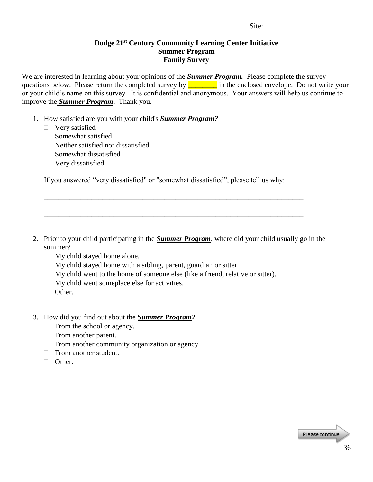#### **Dodge 21st Century Community Learning Center Initiative Summer Program Family Survey**

We are interested in learning about your opinions of the *Summer Program*. Please complete the survey questions below. Please return the completed survey by **<u>we all in the enclosed</u> envelope.** Do not write your or your child's name on this survey. It is confidential and anonymous. Your answers will help us continue to improve the *Summer Program***.** Thank you.

- 1. How satisfied are you with your child's *Summer Program?*
	- □ Very satisfied
	- $\Box$  Somewhat satisfied
	- $\Box$  Neither satisfied nor dissatisfied
	- $\Box$  Somewhat dissatisfied
	- $\Box$  Very dissatisfied

If you answered "very dissatisfied" or "somewhat dissatisfied", please tell us why:

\_\_\_\_\_\_\_\_\_\_\_\_\_\_\_\_\_\_\_\_\_\_\_\_\_\_\_\_\_\_\_\_\_\_\_\_\_\_\_\_\_\_\_\_\_\_\_\_\_\_\_\_\_\_\_\_\_\_\_\_\_\_\_\_\_\_\_\_\_\_\_

\_\_\_\_\_\_\_\_\_\_\_\_\_\_\_\_\_\_\_\_\_\_\_\_\_\_\_\_\_\_\_\_\_\_\_\_\_\_\_\_\_\_\_\_\_\_\_\_\_\_\_\_\_\_\_\_\_\_\_\_\_\_\_\_\_\_\_\_\_\_\_

- 2. Prior to your child participating in the *Summer Program*, where did your child usually go in the summer?
	- $\Box$  My child stayed home alone.
	- $\Box$  My child stayed home with a sibling, parent, guardian or sitter.
	- $\Box$  My child went to the home of someone else (like a friend, relative or sitter).
	- $\Box$  My child went someplace else for activities.
	- **D** Other.
- 3. How did you find out about the *Summer Program?*
	- $\Box$  From the school or agency.
	- From another parent.
	- $\Box$  From another community organization or agency.
	- **From another student.**
	- □ Other.

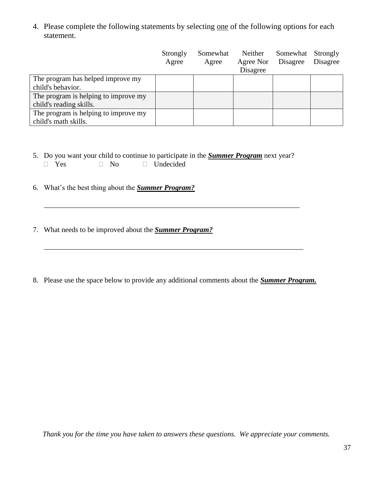4. Please complete the following statements by selecting one of the following options for each statement.

|                                      | Strongly | Somewhat | Neither   | Somewhat | Strongly |
|--------------------------------------|----------|----------|-----------|----------|----------|
|                                      | Agree    | Agree    | Agree Nor | Disagree | Disagree |
|                                      |          |          | Disagree  |          |          |
| The program has helped improve my    |          |          |           |          |          |
| child's behavior.                    |          |          |           |          |          |
| The program is helping to improve my |          |          |           |          |          |
| child's reading skills.              |          |          |           |          |          |
| The program is helping to improve my |          |          |           |          |          |
| child's math skills.                 |          |          |           |          |          |

5. Do you want your child to continue to participate in the *Summer Program* next year?

\_\_\_\_\_\_\_\_\_\_\_\_\_\_\_\_\_\_\_\_\_\_\_\_\_\_\_\_\_\_\_\_\_\_\_\_\_\_\_\_\_\_\_\_\_\_\_\_\_\_\_\_\_\_\_\_\_\_\_\_\_\_\_\_\_\_\_\_\_\_

- Yes No Undecided
- 6. What's the best thing about the *Summer Program?*
- 7. What needs to be improved about the *Summer Program?*
- 8. Please use the space below to provide any additional comments about the *Summer Program.*

\_\_\_\_\_\_\_\_\_\_\_\_\_\_\_\_\_\_\_\_\_\_\_\_\_\_\_\_\_\_\_\_\_\_\_\_\_\_\_\_\_\_\_\_\_\_\_\_\_\_\_\_\_\_\_\_\_\_\_\_\_\_\_\_\_\_\_\_\_\_\_

*Thank you for the time you have taken to answers these questions. We appreciate your comments.*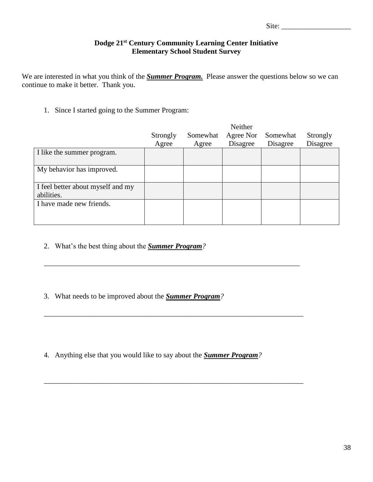### **Dodge 21st Century Community Learning Center Initiative Elementary School Student Survey**

We are interested in what you think of the **Summer Program**. Please answer the questions below so we can continue to make it better. Thank you.

1. Since I started going to the Summer Program:

|                                   |          |          | Neither   |          |          |
|-----------------------------------|----------|----------|-----------|----------|----------|
|                                   | Strongly | Somewhat | Agree Nor | Somewhat | Strongly |
|                                   | Agree    | Agree    | Disagree  | Disagree | Disagree |
| I like the summer program.        |          |          |           |          |          |
|                                   |          |          |           |          |          |
| My behavior has improved.         |          |          |           |          |          |
|                                   |          |          |           |          |          |
| I feel better about myself and my |          |          |           |          |          |
| abilities.                        |          |          |           |          |          |
| I have made new friends.          |          |          |           |          |          |
|                                   |          |          |           |          |          |
|                                   |          |          |           |          |          |

\_\_\_\_\_\_\_\_\_\_\_\_\_\_\_\_\_\_\_\_\_\_\_\_\_\_\_\_\_\_\_\_\_\_\_\_\_\_\_\_\_\_\_\_\_\_\_\_\_\_\_\_\_\_\_\_\_\_\_\_\_\_\_\_\_\_\_\_\_\_

\_\_\_\_\_\_\_\_\_\_\_\_\_\_\_\_\_\_\_\_\_\_\_\_\_\_\_\_\_\_\_\_\_\_\_\_\_\_\_\_\_\_\_\_\_\_\_\_\_\_\_\_\_\_\_\_\_\_\_\_\_\_\_\_\_\_\_\_\_\_\_

\_\_\_\_\_\_\_\_\_\_\_\_\_\_\_\_\_\_\_\_\_\_\_\_\_\_\_\_\_\_\_\_\_\_\_\_\_\_\_\_\_\_\_\_\_\_\_\_\_\_\_\_\_\_\_\_\_\_\_\_\_\_\_\_\_\_\_\_\_\_\_

2. What's the best thing about the *Summer Program?*

3. What needs to be improved about the *Summer Program?*

4. Anything else that you would like to say about the *Summer Program?*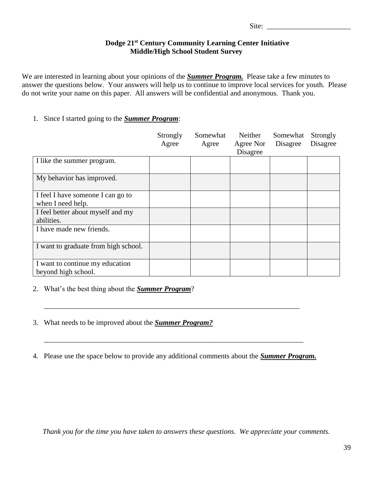#### **Dodge 21st Century Community Learning Center Initiative Middle/High School Student Survey**

We are interested in learning about your opinions of the *Summer Program.* Please take a few minutes to answer the questions below. Your answers will help us to continue to improve local services for youth. Please do not write your name on this paper. All answers will be confidential and anonymous. Thank you.

#### 1. Since I started going to the *Summer Program*:

|                                                        | Strongly<br>Agree | Somewhat<br>Agree | Neither<br>Agree Nor<br>Disagree | Somewhat<br>Disagree | Strongly<br>Disagree |
|--------------------------------------------------------|-------------------|-------------------|----------------------------------|----------------------|----------------------|
| I like the summer program.                             |                   |                   |                                  |                      |                      |
| My behavior has improved.                              |                   |                   |                                  |                      |                      |
| I feel I have someone I can go to<br>when I need help. |                   |                   |                                  |                      |                      |
| I feel better about myself and my<br>abilities.        |                   |                   |                                  |                      |                      |
| I have made new friends.                               |                   |                   |                                  |                      |                      |
| I want to graduate from high school.                   |                   |                   |                                  |                      |                      |
| I want to continue my education<br>beyond high school. |                   |                   |                                  |                      |                      |

#### 2. What's the best thing about the *Summer Program*?

- 3. What needs to be improved about the *Summer Program?*
- 4. Please use the space below to provide any additional comments about the *Summer Program.*

\_\_\_\_\_\_\_\_\_\_\_\_\_\_\_\_\_\_\_\_\_\_\_\_\_\_\_\_\_\_\_\_\_\_\_\_\_\_\_\_\_\_\_\_\_\_\_\_\_\_\_\_\_\_\_\_\_\_\_\_\_\_\_\_\_\_\_\_\_\_\_

\_\_\_\_\_\_\_\_\_\_\_\_\_\_\_\_\_\_\_\_\_\_\_\_\_\_\_\_\_\_\_\_\_\_\_\_\_\_\_\_\_\_\_\_\_\_\_\_\_\_\_\_\_\_\_\_\_\_\_\_\_\_\_\_\_\_\_\_\_\_

*Thank you for the time you have taken to answers these questions. We appreciate your comments.*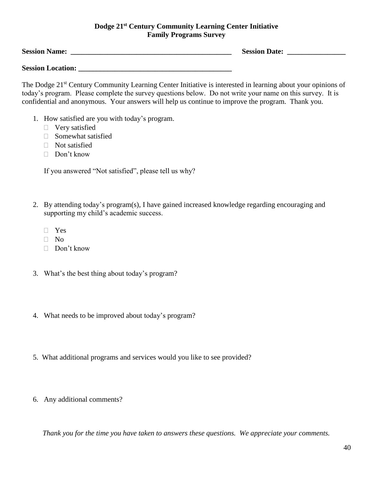#### **Dodge 21st Century Community Learning Center Initiative Family Programs Survey**

| <b>Session Name:</b>     | <b>Session Date:</b> |
|--------------------------|----------------------|
|                          |                      |
| <b>Session Location:</b> |                      |

The Dodge 21<sup>st</sup> Century Community Learning Center Initiative is interested in learning about your opinions of today's program. Please complete the survey questions below. Do not write your name on this survey. It is confidential and anonymous. Your answers will help us continue to improve the program. Thank you.

- 1. How satisfied are you with today's program.
	- □ Very satisfied
	- $\Box$  Somewhat satisfied
	- □ Not satisfied
	- □ Don't know

If you answered "Not satisfied", please tell us why?

- 2. By attending today's program(s), I have gained increased knowledge regarding encouraging and supporting my child's academic success.
	- Yes
	- $\Box$  No
	- $\Box$  Don't know
- 3. What's the best thing about today's program?
- 4. What needs to be improved about today's program?
- 5. What additional programs and services would you like to see provided?
- 6. Any additional comments?

*Thank you for the time you have taken to answers these questions. We appreciate your comments.*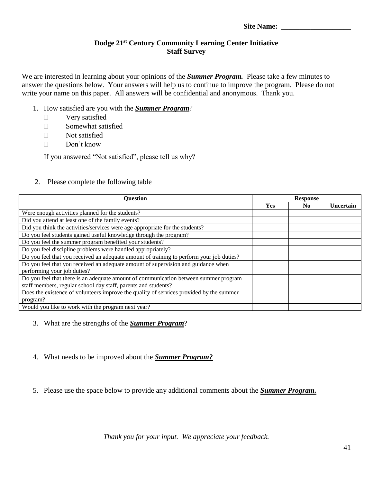| <b>Site Name:</b> |  |
|-------------------|--|
|                   |  |

#### **Dodge 21st Century Community Learning Center Initiative Staff Survey**

We are interested in learning about your opinions of the *Summer Program.* Please take a few minutes to answer the questions below. Your answers will help us to continue to improve the program. Please do not write your name on this paper. All answers will be confidential and anonymous. Thank you.

- 1. How satisfied are you with the *Summer Program*?
	- **Very satisfied**
	- Somewhat satisfied
	- $\neg$  Not satisfied
	- $\Box$  Don't know

If you answered "Not satisfied", please tell us why?

### 2. Please complete the following table

| <b>Question</b>                                                                          | <b>Response</b> |                |                  |
|------------------------------------------------------------------------------------------|-----------------|----------------|------------------|
|                                                                                          | <b>Yes</b>      | N <sub>0</sub> | <b>Uncertain</b> |
| Were enough activities planned for the students?                                         |                 |                |                  |
| Did you attend at least one of the family events?                                        |                 |                |                  |
| Did you think the activities/services were age appropriate for the students?             |                 |                |                  |
| Do you feel students gained useful knowledge through the program?                        |                 |                |                  |
| Do you feel the summer program benefited your students?                                  |                 |                |                  |
| Do you feel discipline problems were handled appropriately?                              |                 |                |                  |
| Do you feel that you received an adequate amount of training to perform your job duties? |                 |                |                  |
| Do you feel that you received an adequate amount of supervision and guidance when        |                 |                |                  |
| performing your job duties?                                                              |                 |                |                  |
| Do you feel that there is an adequate amount of communication between summer program     |                 |                |                  |
| staff members, regular school day staff, parents and students?                           |                 |                |                  |
| Does the existence of volunteers improve the quality of services provided by the summer  |                 |                |                  |
| program?                                                                                 |                 |                |                  |
| Would you like to work with the program next year?                                       |                 |                |                  |

- 3. What are the strengths of the *Summer Program*?
- 4. What needs to be improved about the *Summer Program?*
- 5. Please use the space below to provide any additional comments about the *Summer Program.*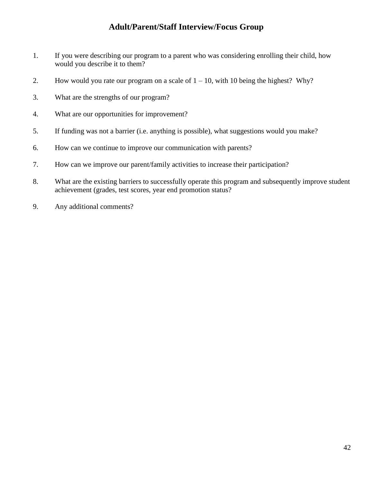## **Adult/Parent/Staff Interview/Focus Group**

- 1. If you were describing our program to a parent who was considering enrolling their child, how would you describe it to them?
- 2. How would you rate our program on a scale of  $1 10$ , with 10 being the highest? Why?
- 3. What are the strengths of our program?
- 4. What are our opportunities for improvement?
- 5. If funding was not a barrier (i.e. anything is possible), what suggestions would you make?
- 6. How can we continue to improve our communication with parents?
- 7. How can we improve our parent/family activities to increase their participation?
- 8. What are the existing barriers to successfully operate this program and subsequently improve student achievement (grades, test scores, year end promotion status?
- 9. Any additional comments?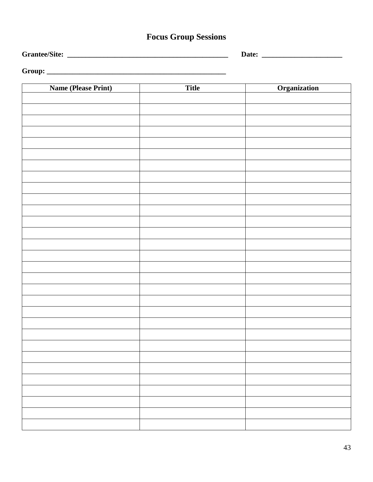# **Focus Group Sessions**

**Grantee/Site: \_\_\_\_\_\_\_\_\_\_\_\_\_\_\_\_\_\_\_\_\_\_\_\_\_\_\_\_\_\_\_\_\_\_\_\_\_\_\_\_\_\_\_\_ Date: \_\_\_\_\_\_\_\_\_\_\_\_\_\_\_\_\_\_\_\_\_\_**

#### **Group: \_\_\_\_\_\_\_\_\_\_\_\_\_\_\_\_\_\_\_\_\_\_\_\_\_\_\_\_\_\_\_\_\_\_\_\_\_\_\_\_\_\_\_\_\_\_\_\_\_**

| <b>Name (Please Print)</b> | <b>Title</b> | Organization |
|----------------------------|--------------|--------------|
|                            |              |              |
|                            |              |              |
|                            |              |              |
|                            |              |              |
|                            |              |              |
|                            |              |              |
|                            |              |              |
|                            |              |              |
|                            |              |              |
|                            |              |              |
|                            |              |              |
|                            |              |              |
|                            |              |              |
|                            |              |              |
|                            |              |              |
|                            |              |              |
|                            |              |              |
|                            |              |              |
|                            |              |              |
|                            |              |              |
|                            |              |              |
|                            |              |              |
|                            |              |              |
|                            |              |              |
|                            |              |              |
|                            |              |              |
|                            |              |              |
|                            |              |              |
|                            |              |              |
|                            |              |              |
|                            |              |              |
|                            |              |              |
|                            |              |              |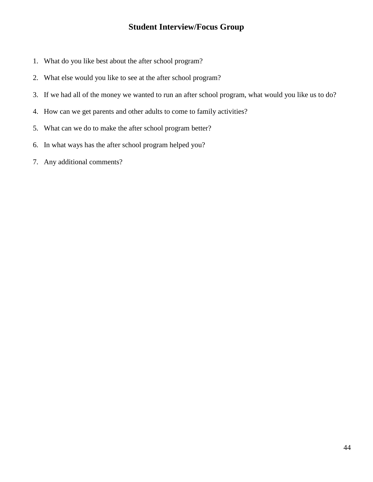## **Student Interview/Focus Group**

- 1. What do you like best about the after school program?
- 2. What else would you like to see at the after school program?
- 3. If we had all of the money we wanted to run an after school program, what would you like us to do?
- 4. How can we get parents and other adults to come to family activities?
- 5. What can we do to make the after school program better?
- 6. In what ways has the after school program helped you?
- 7. Any additional comments?